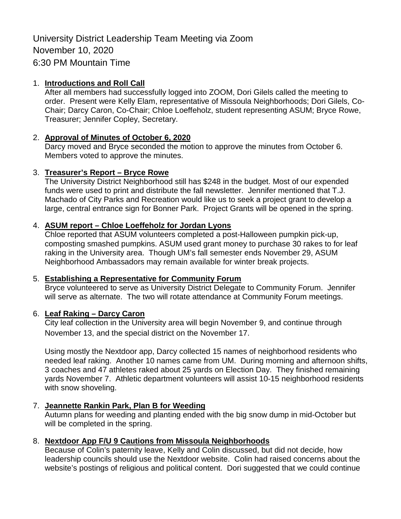University District Leadership Team Meeting via Zoom November 10, 2020 6:30 PM Mountain Time

### 1. **Introductions and Roll Call**

After all members had successfully logged into ZOOM, Dori Gilels called the meeting to order. Present were Kelly Elam, representative of Missoula Neighborhoods; Dori Gilels, Co-Chair; Darcy Caron, Co-Chair; Chloe Loeffeholz, student representing ASUM; Bryce Rowe, Treasurer; Jennifer Copley, Secretary.

### 2. **Approval of Minutes of October 6, 2020**

Darcy moved and Bryce seconded the motion to approve the minutes from October 6. Members voted to approve the minutes.

### 3. **Treasurer's Report – Bryce Rowe**

The University District Neighborhood still has \$248 in the budget. Most of our expended funds were used to print and distribute the fall newsletter. Jennifer mentioned that T.J. Machado of City Parks and Recreation would like us to seek a project grant to develop a large, central entrance sign for Bonner Park. Project Grants will be opened in the spring.

### 4. **ASUM report – Chloe Loeffeholz for Jordan Lyons**

Chloe reported that ASUM volunteers completed a post-Halloween pumpkin pick-up, composting smashed pumpkins. ASUM used grant money to purchase 30 rakes to for leaf raking in the University area. Though UM's fall semester ends November 29, ASUM Neighborhood Ambassadors may remain available for winter break projects.

### 5. **Establishing a Representative for Community Forum**

Bryce volunteered to serve as University District Delegate to Community Forum. Jennifer will serve as alternate. The two will rotate attendance at Community Forum meetings.

### 6. **Leaf Raking – Darcy Caron**

City leaf collection in the University area will begin November 9, and continue through November 13, and the special district on the November 17.

Using mostly the Nextdoor app, Darcy collected 15 names of neighborhood residents who needed leaf raking. Another 10 names came from UM. During morning and afternoon shifts, 3 coaches and 47 athletes raked about 25 yards on Election Day. They finished remaining yards November 7. Athletic department volunteers will assist 10-15 neighborhood residents with snow shoveling.

## 7. **Jeannette Rankin Park, Plan B for Weeding**

Autumn plans for weeding and planting ended with the big snow dump in mid-October but will be completed in the spring.

# 8. **Nextdoor App F/U 9 Cautions from Missoula Neighborhoods**

Because of Colin's paternity leave, Kelly and Colin discussed, but did not decide, how leadership councils should use the Nextdoor website. Colin had raised concerns about the website's postings of religious and political content. Dori suggested that we could continue